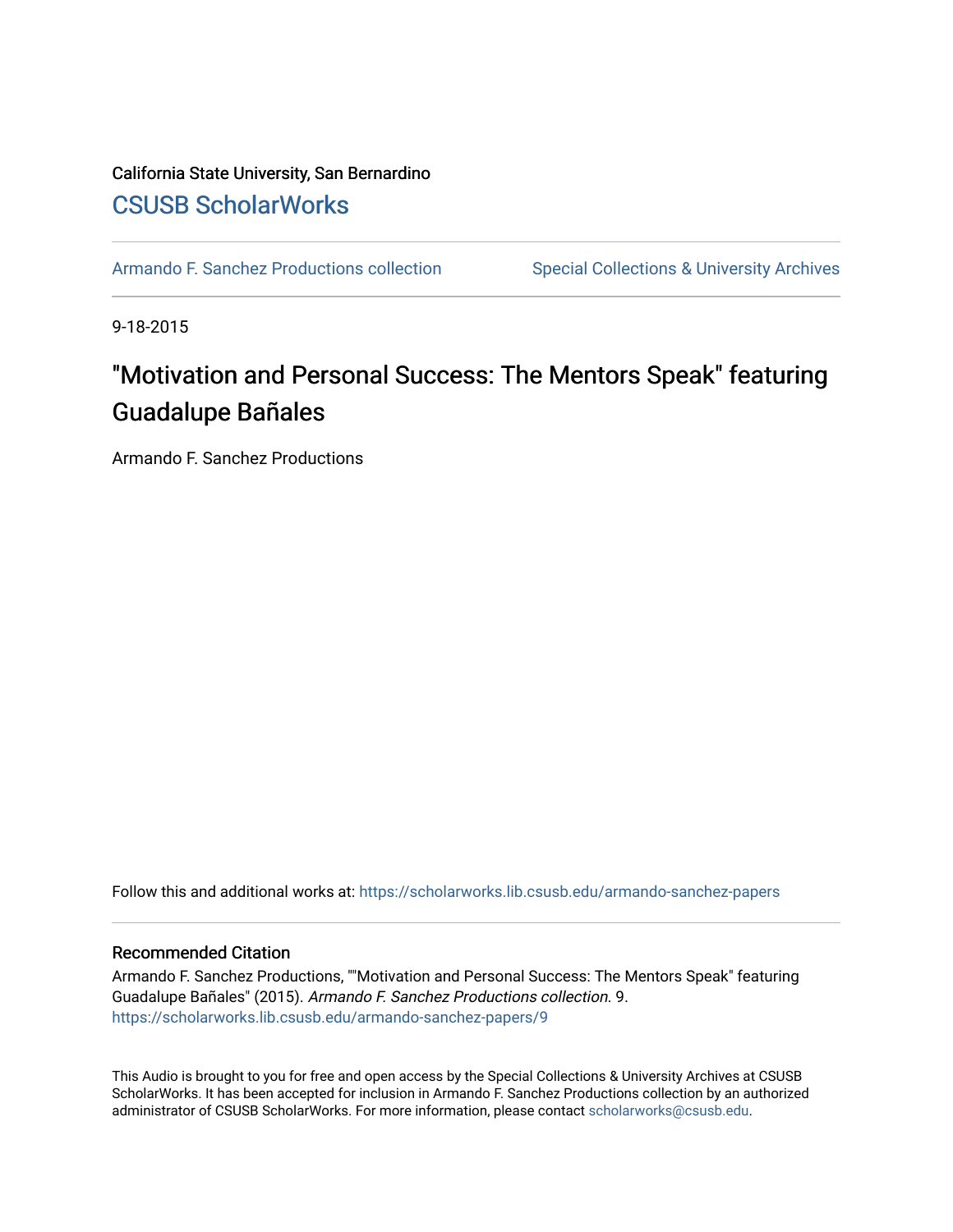#### California State University, San Bernardino [CSUSB ScholarWorks](https://scholarworks.lib.csusb.edu/)

[Armando F. Sanchez Productions collection](https://scholarworks.lib.csusb.edu/armando-sanchez-papers) Special Collections & University Archives

9-18-2015

# "Motivation and Personal Success: The Mentors Speak" featuring Guadalupe Bañales

Armando F. Sanchez Productions

Follow this and additional works at: [https://scholarworks.lib.csusb.edu/armando-sanchez-papers](https://scholarworks.lib.csusb.edu/armando-sanchez-papers?utm_source=scholarworks.lib.csusb.edu%2Farmando-sanchez-papers%2F9&utm_medium=PDF&utm_campaign=PDFCoverPages) 

#### Recommended Citation

Armando F. Sanchez Productions, ""Motivation and Personal Success: The Mentors Speak" featuring Guadalupe Bañales" (2015). Armando F. Sanchez Productions collection. 9. [https://scholarworks.lib.csusb.edu/armando-sanchez-papers/9](https://scholarworks.lib.csusb.edu/armando-sanchez-papers/9?utm_source=scholarworks.lib.csusb.edu%2Farmando-sanchez-papers%2F9&utm_medium=PDF&utm_campaign=PDFCoverPages)

This Audio is brought to you for free and open access by the Special Collections & University Archives at CSUSB ScholarWorks. It has been accepted for inclusion in Armando F. Sanchez Productions collection by an authorized administrator of CSUSB ScholarWorks. For more information, please contact [scholarworks@csusb.edu](mailto:scholarworks@csusb.edu).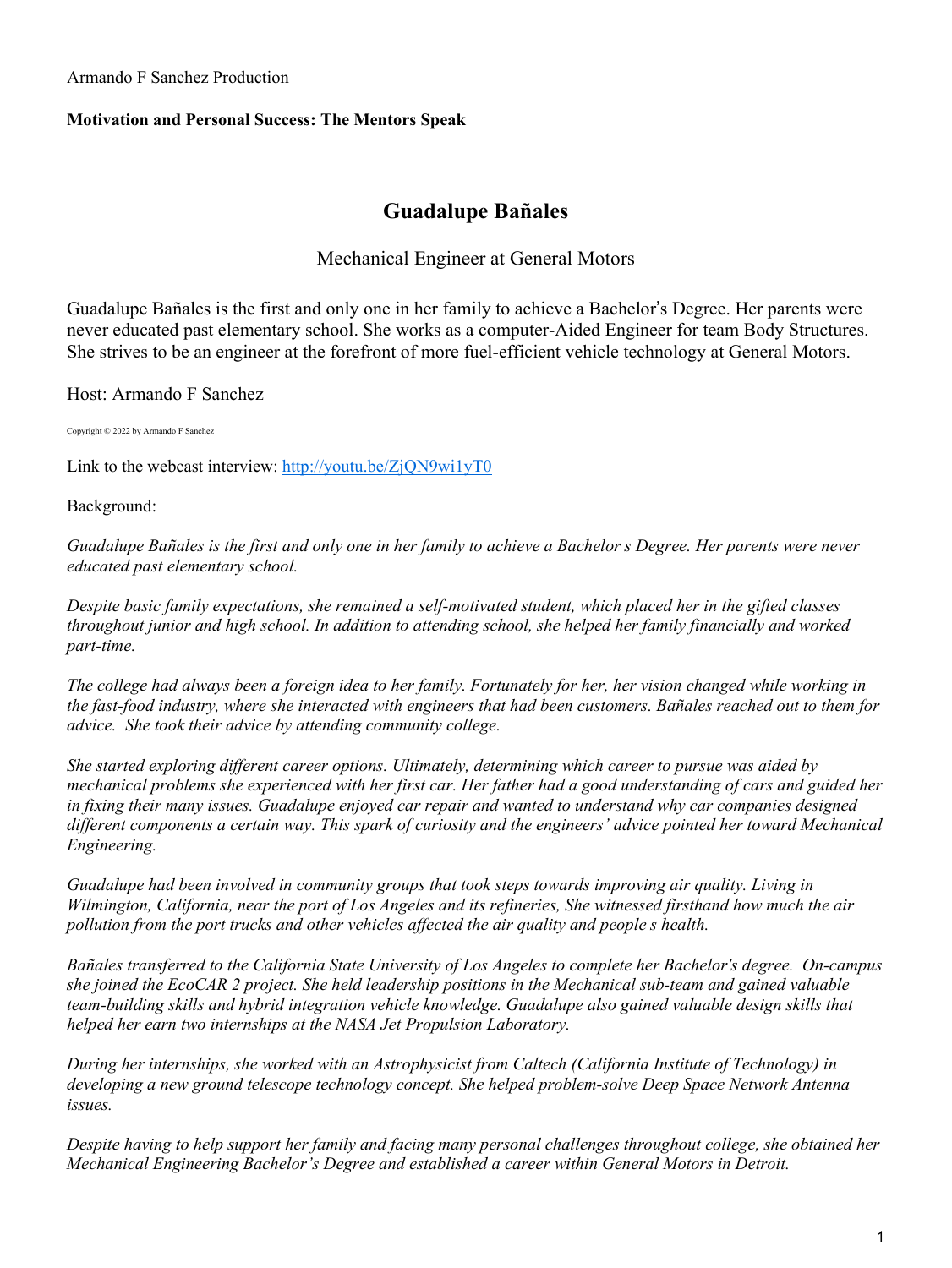Armando F Sanchez Production

#### **Motivation and Personal Success: The Mentors Speak**

### **Guadalupe Bañales**

### Mechanical Engineer at General Motors

Guadalupe Bañales is the first and only one in her family to achieve a Bachelor's Degree. Her parents were never educated past elementary school. She works as a computer-Aided Engineer for team Body Structures. She strives to be an engineer at the forefront of more fuel-efficient vehicle technology at General Motors.

Host: Armando F Sanchez

Copyright © 2022 by Armando F Sanchez

Link to the webcast interview: <http://youtu.be/ZjQN9wi1yT0>

Background:

Guadalupe Bañales is the first and only one in her family to achieve a Bachelor s Degree. Her parents were never *educated past elementary school.*

*Despite basic family expectations, she remained a self-motivated student, which placed her in the gifted classes throughout junior and high school. In addition to attending school, she helped her family financially and worked part-time.* 

The college had always been a foreign idea to her family. Fortunately for her, her vision changed while working in the fast-food industry, where she interacted with engineers that had been customers. Bañales reached out to them for *advice. She took their advice by attending community college.* 

*She started exploring different career options. Ultimately, determining which career to pursue was aided by* mechanical problems she experienced with her first car. Her father had a good understanding of cars and guided her *in fixing their many issues. Guadalupe enjoyed car repair and wanted to understand why car companies designed different components a certain way. This spark of curiosity and the engineers' advice pointed her toward Mechanical Engineering.* 

*Guadalupe had been involved in community groups that took steps towards improving air quality. Living in* Wilmington, California, near the port of Los Angeles and its refineries, She witnessed firsthand how much the air *pollution from the port trucks and other vehicles affected the air quality and people s health.* 

*Bañales transferred to the California State University of Los Angeles to complete her Bachelor's degree. On-campus she joined the EcoCAR 2 project. She held leadership positions in the Mechanical sub-team and gained valuable team-building skills and hybrid integration vehicle knowledge. Guadalupe also gained valuable design skills that helped her earn two internships at the NASA Jet Propulsion Laboratory.* 

*During her internships, she worked with an Astrophysicist from Caltech (California Institute of Technology) in developing a new ground telescope technology concept. She helped problem-solve Deep Space Network Antenna issues.* 

Despite having to help support her family and facing many personal challenges throughout college, she obtained her *Mechanical Engineering Bachelor's Degree and established a career within General Motors in Detroit.*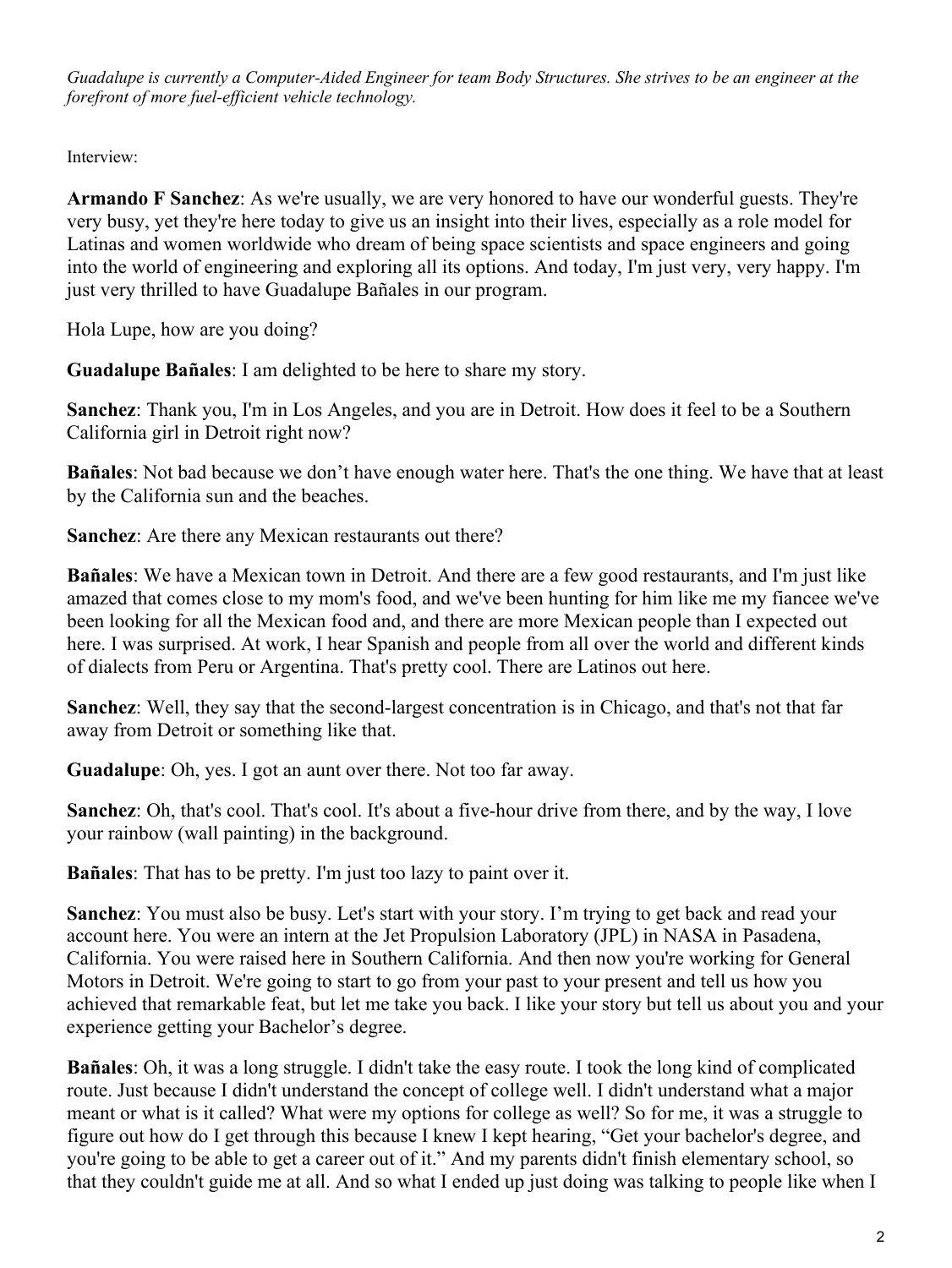Guadalupe is currently a Computer-Aided Engineer for team Body Structures. She strives to be an engineer at the *forefront of more fuel-efficient vehicle technology.*

Interview:

**Armando F Sanchez**: As we're usually, we are very honored to have our wonderful guests. They're very busy, yet they're here today to give us an insight into their lives, especially as a role model for Latinas and women worldwide who dream of being space scientists and space engineers and going into the world of engineering and exploring all its options. And today, I'm just very, very happy. I'm just very thrilled to have Guadalupe Bañales in our program.

Hola Lupe, how are you doing?

**Guadalupe Bañales**: I am delighted to be here to share my story.

**Sanchez**: Thank you, I'm in Los Angeles, and you are in Detroit. How does it feel to be a Southern California girl in Detroit right now?

**Bañales**: Not bad because we don't have enough water here. That's the one thing. We have that at least by the California sun and the beaches.

**Sanchez**: Are there any Mexican restaurants out there?

**Bañales**: We have a Mexican town in Detroit. And there are a few good restaurants, and I'm just like amazed that comes close to my mom's food, and we've been hunting for him like me my fiancee we've been looking for all the Mexican food and, and there are more Mexican people than I expected out here. I was surprised. At work, I hear Spanish and people from all over the world and different kinds of dialects from Peru or Argentina. That's pretty cool. There are Latinos out here.

**Sanchez**: Well, they say that the second-largest concentration is in Chicago, and that's not that far away from Detroit or something like that.

**Guadalupe**: Oh, yes. I got an aunt over there. Not too far away.

**Sanchez**: Oh, that's cool. That's cool. It's about a five-hour drive from there, and by the way, I love your rainbow (wall painting) in the background.

**Bañales**: That has to be pretty. I'm just too lazy to paint over it.

**Sanchez**: You must also be busy. Let's start with your story. I'm trying to get back and read your account here. You were an intern at the Jet Propulsion Laboratory (JPL) in NASA in Pasadena, California. You were raised here in Southern California. And then now you're working for General Motors in Detroit. We're going to start to go from your past to your present and tell us how you achieved that remarkable feat, but let me take you back. I like your story but tell us about you and your experience getting your Bachelor's degree.

**Bañales**: Oh, it was a long struggle. I didn't take the easy route. I took the long kind of complicated route. Just because I didn't understand the concept of college well. I didn't understand what a major meant or what is it called? What were my options for college as well? So for me, it was a struggle to figure out how do I get through this because I knew I kept hearing, "Get your bachelor's degree, and you're going to be able to get a career out of it." And my parents didn't finish elementary school, so that they couldn't guide me at all. And so what I ended up just doing was talking to people like when I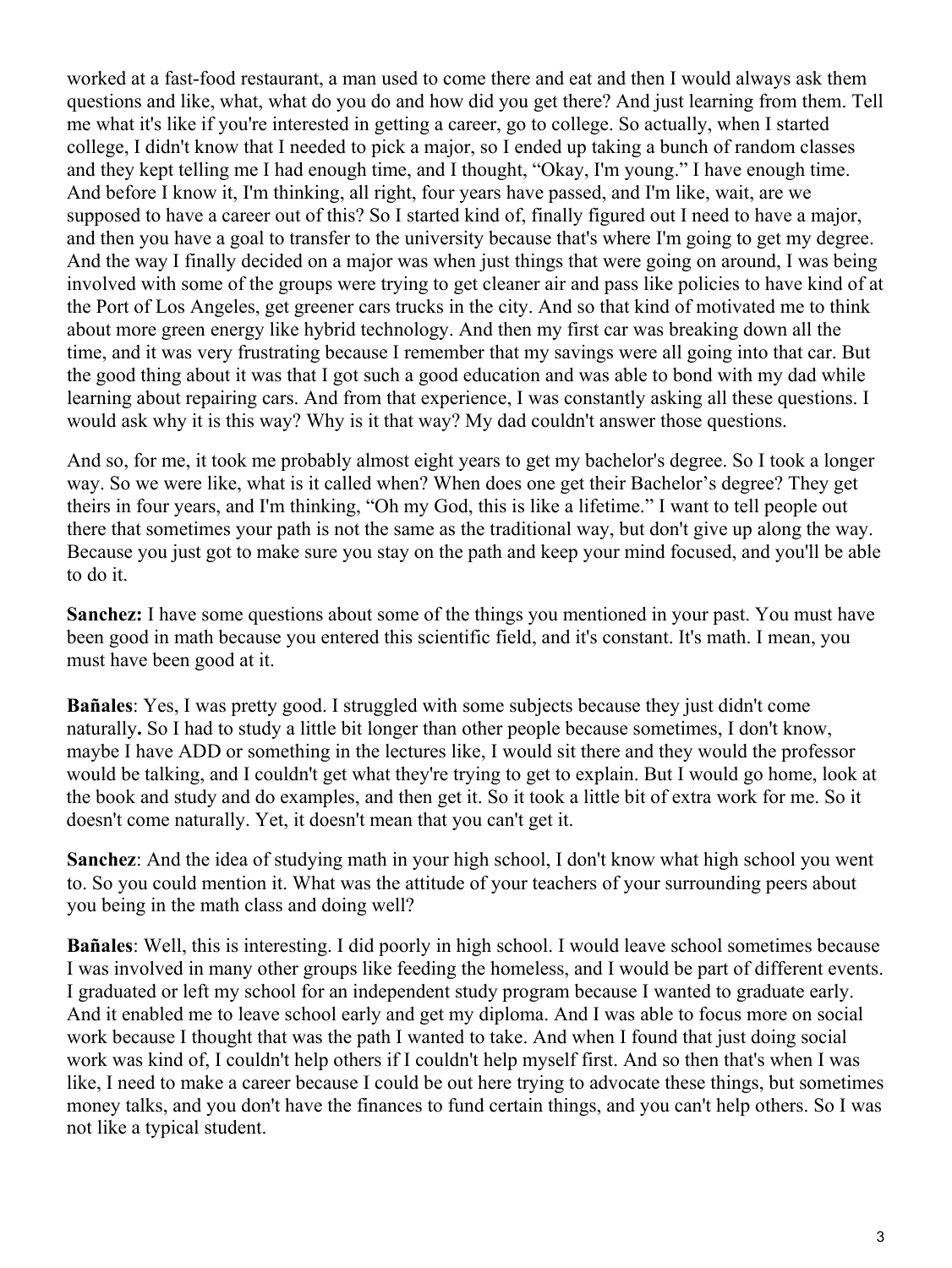worked at a fast-food restaurant, a man used to come there and eat and then I would always ask them questions and like, what, what do you do and how did you get there? And just learning from them. Tell me what it's like if you're interested in getting a career, go to college. So actually, when I started college, I didn't know that I needed to pick a major, so I ended up taking a bunch of random classes and they kept telling me I had enough time, and I thought, "Okay, I'm young." I have enough time. And before I know it, I'm thinking, all right, four years have passed, and I'm like, wait, are we supposed to have a career out of this? So I started kind of, finally figured out I need to have a major, and then you have a goal to transfer to the university because that's where I'm going to get my degree. And the way I finally decided on a major was when just things that were going on around, I was being involved with some of the groups were trying to get cleaner air and pass like policies to have kind of at the Port of Los Angeles, get greener cars trucks in the city. And so that kind of motivated me to think about more green energy like hybrid technology. And then my first car was breaking down all the time, and it was very frustrating because I remember that my savings were all going into that car. But the good thing about it was that I got such a good education and was able to bond with my dad while learning about repairing cars. And from that experience, I was constantly asking all these questions. I would ask why it is this way? Why is it that way? My dad couldn't answer those questions.

And so, for me, it took me probably almost eight years to get my bachelor's degree. So I took a longer way. So we were like, what is it called when? When does one get their Bachelor's degree? They get theirs in four years, and I'm thinking, "Oh my God, this is like a lifetime." I want to tell people out there that sometimes your path is not the same as the traditional way, but don't give up along the way. Because you just got to make sure you stay on the path and keep your mind focused, and you'll be able to do it.

**Sanchez:** I have some questions about some of the things you mentioned in your past. You must have been good in math because you entered this scientific field, and it's constant. It's math. I mean, you must have been good at it.

**Bañales**: Yes, I was pretty good. I struggled with some subjects because they just didn't come naturally**.** So I had to study a little bit longer than other people because sometimes, I don't know, maybe I have ADD or something in the lectures like, I would sit there and they would the professor would be talking, and I couldn't get what they're trying to get to explain. But I would go home, look at the book and study and do examples, and then get it. So it took a little bit of extra work for me. So it doesn't come naturally. Yet, it doesn't mean that you can't get it.

**Sanchez**: And the idea of studying math in your high school, I don't know what high school you went to. So you could mention it. What was the attitude of your teachers of your surrounding peers about you being in the math class and doing well?

**Bañales**: Well, this is interesting. I did poorly in high school. I would leave school sometimes because I was involved in many other groups like feeding the homeless, and I would be part of different events. I graduated or left my school for an independent study program because I wanted to graduate early. And it enabled me to leave school early and get my diploma. And I was able to focus more on social work because I thought that was the path I wanted to take. And when I found that just doing social work was kind of, I couldn't help others if I couldn't help myself first. And so then that's when I was like, I need to make a career because I could be out here trying to advocate these things, but sometimes money talks, and you don't have the finances to fund certain things, and you can't help others. So I was not like a typical student.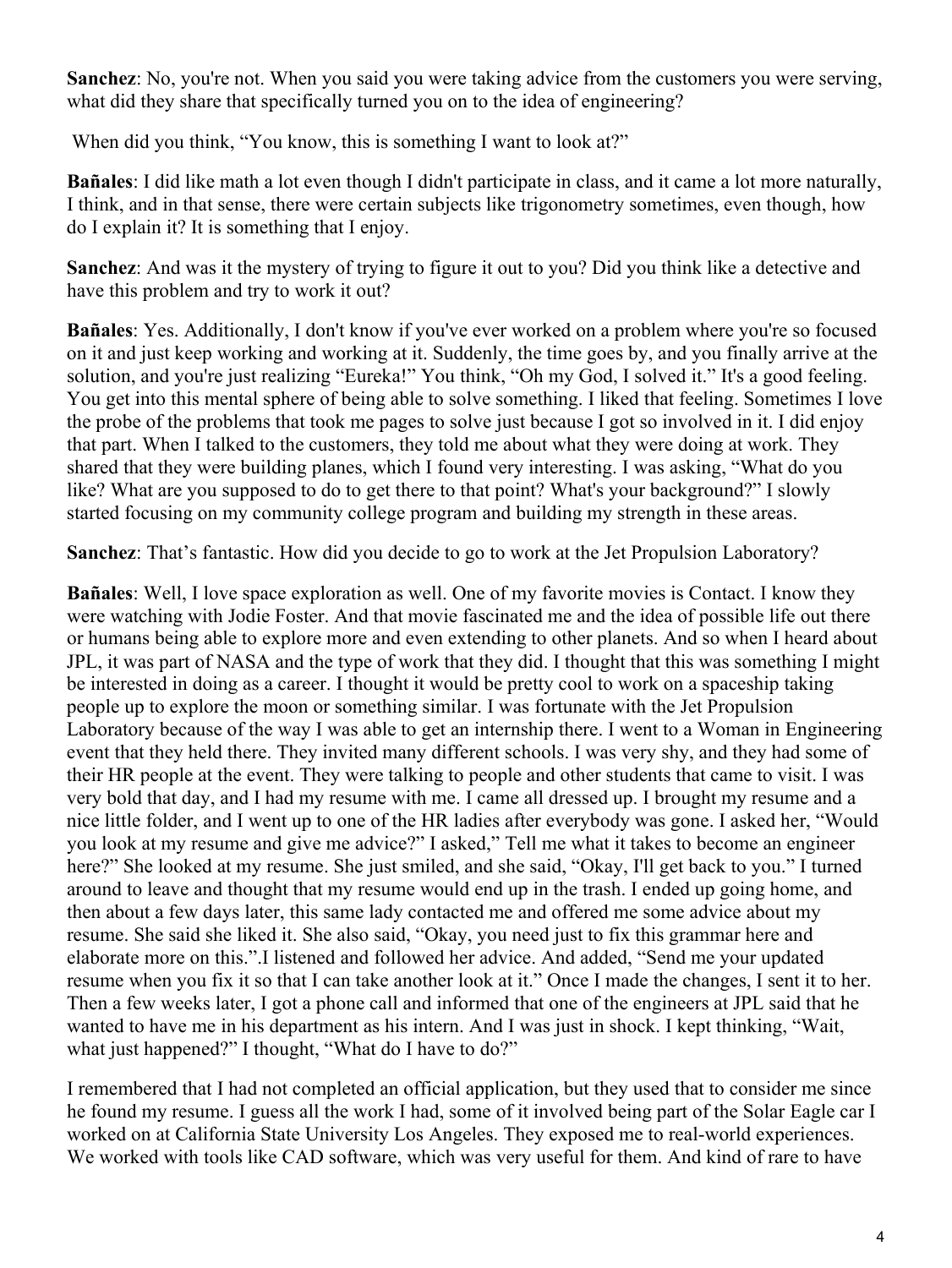**Sanchez**: No, you're not. When you said you were taking advice from the customers you were serving, what did they share that specifically turned you on to the idea of engineering?

When did you think, "You know, this is something I want to look at?"

**Bañales**: I did like math a lot even though I didn't participate in class, and it came a lot more naturally, I think, and in that sense, there were certain subjects like trigonometry sometimes, even though, how do I explain it? It is something that I enjoy.

**Sanchez**: And was it the mystery of trying to figure it out to you? Did you think like a detective and have this problem and try to work it out?

**Bañales**: Yes. Additionally, I don't know if you've ever worked on a problem where you're so focused on it and just keep working and working at it. Suddenly, the time goes by, and you finally arrive at the solution, and you're just realizing "Eureka!" You think, "Oh my God, I solved it." It's a good feeling. You get into this mental sphere of being able to solve something. I liked that feeling. Sometimes I love the probe of the problems that took me pages to solve just because I got so involved in it. I did enjoy that part. When I talked to the customers, they told me about what they were doing at work. They shared that they were building planes, which I found very interesting. I was asking, "What do you like? What are you supposed to do to get there to that point? What's your background?" I slowly started focusing on my community college program and building my strength in these areas.

**Sanchez**: That's fantastic. How did you decide to go to work at the Jet Propulsion Laboratory?

**Bañales**: Well, I love space exploration as well. One of my favorite movies is Contact. I know they were watching with Jodie Foster. And that movie fascinated me and the idea of possible life out there or humans being able to explore more and even extending to other planets. And so when I heard about JPL, it was part of NASA and the type of work that they did. I thought that this was something I might be interested in doing as a career. I thought it would be pretty cool to work on a spaceship taking people up to explore the moon or something similar. I was fortunate with the Jet Propulsion Laboratory because of the way I was able to get an internship there. I went to a Woman in Engineering event that they held there. They invited many different schools. I was very shy, and they had some of their HR people at the event. They were talking to people and other students that came to visit. I was very bold that day, and I had my resume with me. I came all dressed up. I brought my resume and a nice little folder, and I went up to one of the HR ladies after everybody was gone. I asked her, "Would you look at my resume and give me advice?" I asked," Tell me what it takes to become an engineer here?" She looked at my resume. She just smiled, and she said, "Okay, I'll get back to you." I turned around to leave and thought that my resume would end up in the trash. I ended up going home, and then about a few days later, this same lady contacted me and offered me some advice about my resume. She said she liked it. She also said, "Okay, you need just to fix this grammar here and elaborate more on this.".I listened and followed her advice. And added, "Send me your updated resume when you fix it so that I can take another look at it." Once I made the changes, I sent it to her. Then a few weeks later, I got a phone call and informed that one of the engineers at JPL said that he wanted to have me in his department as his intern. And I was just in shock. I kept thinking, "Wait, what just happened?" I thought, "What do I have to do?"

I remembered that I had not completed an official application, but they used that to consider me since he found my resume. I guess all the work I had, some of it involved being part of the Solar Eagle car I worked on at California State University Los Angeles. They exposed me to real-world experiences. We worked with tools like CAD software, which was very useful for them. And kind of rare to have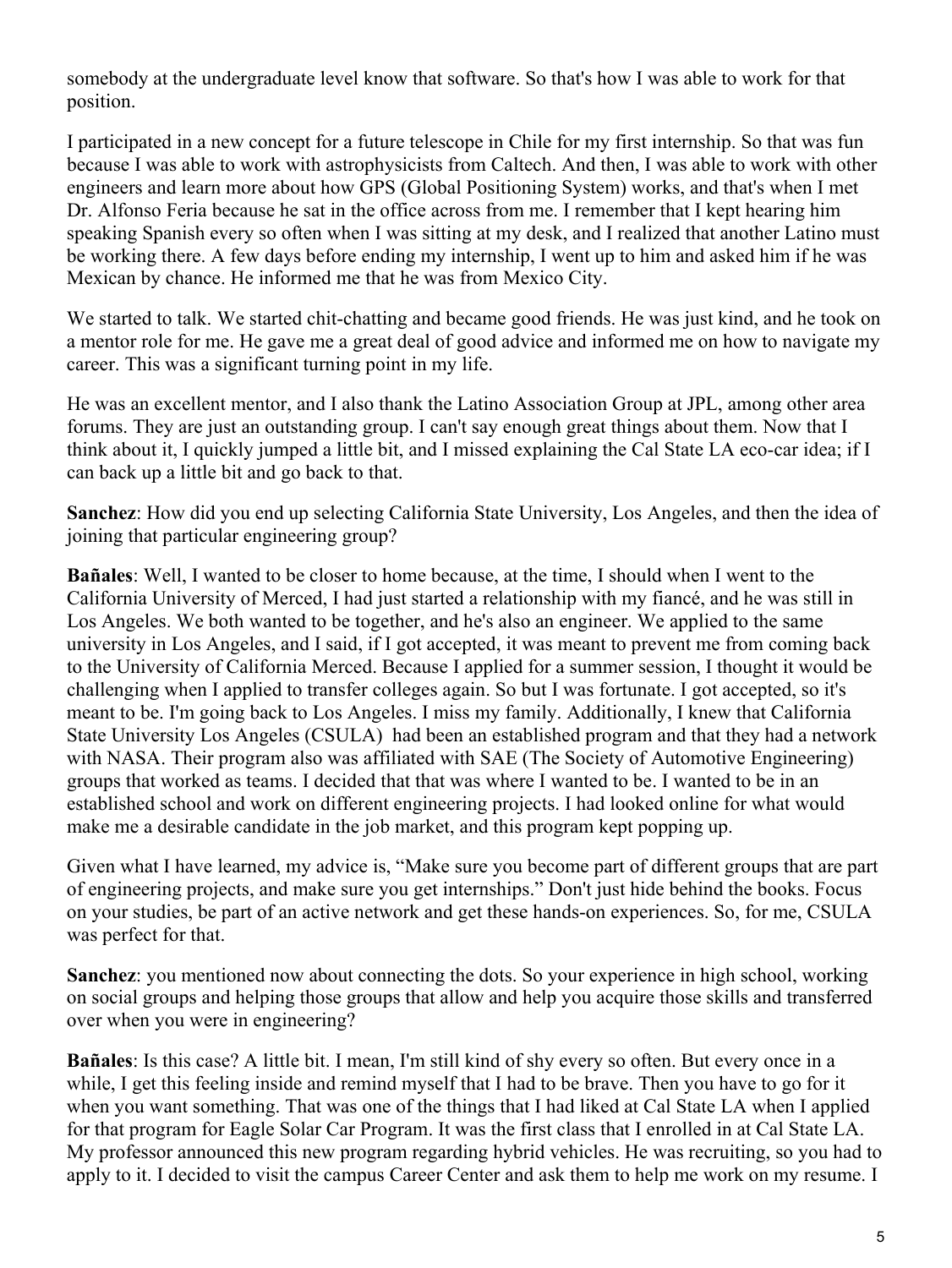somebody at the undergraduate level know that software. So that's how I was able to work for that position.

I participated in a new concept for a future telescope in Chile for my first internship. So that was fun because I was able to work with astrophysicists from Caltech. And then, I was able to work with other engineers and learn more about how GPS (Global Positioning System) works, and that's when I met Dr. Alfonso Feria because he sat in the office across from me. I remember that I kept hearing him speaking Spanish every so often when I was sitting at my desk, and I realized that another Latino must be working there. A few days before ending my internship, I went up to him and asked him if he was Mexican by chance. He informed me that he was from Mexico City.

We started to talk. We started chit-chatting and became good friends. He was just kind, and he took on a mentor role for me. He gave me a great deal of good advice and informed me on how to navigate my career. This was a significant turning point in my life.

He was an excellent mentor, and I also thank the Latino Association Group at JPL, among other area forums. They are just an outstanding group. I can't say enough great things about them. Now that I think about it, I quickly jumped a little bit, and I missed explaining the Cal State LA eco-car idea; if I can back up a little bit and go back to that.

**Sanchez**: How did you end up selecting California State University, Los Angeles, and then the idea of joining that particular engineering group?

**Bañales**: Well, I wanted to be closer to home because, at the time, I should when I went to the California University of Merced, I had just started a relationship with my fiancé, and he was still in Los Angeles. We both wanted to be together, and he's also an engineer. We applied to the same university in Los Angeles, and I said, if I got accepted, it was meant to prevent me from coming back to the University of California Merced. Because I applied for a summer session, I thought it would be challenging when I applied to transfer colleges again. So but I was fortunate. I got accepted, so it's meant to be. I'm going back to Los Angeles. I miss my family. Additionally, I knew that California State University Los Angeles (CSULA) had been an established program and that they had a network with NASA. Their program also was affiliated with SAE (The Society of Automotive Engineering) groups that worked as teams. I decided that that was where I wanted to be. I wanted to be in an established school and work on different engineering projects. I had looked online for what would make me a desirable candidate in the job market, and this program kept popping up.

Given what I have learned, my advice is, "Make sure you become part of different groups that are part of engineering projects, and make sure you get internships." Don't just hide behind the books. Focus on your studies, be part of an active network and get these hands-on experiences. So, for me, CSULA was perfect for that.

**Sanchez**: you mentioned now about connecting the dots. So your experience in high school, working on social groups and helping those groups that allow and help you acquire those skills and transferred over when you were in engineering?

**Bañales**: Is this case? A little bit. I mean, I'm still kind of shy every so often. But every once in a while, I get this feeling inside and remind myself that I had to be brave. Then you have to go for it when you want something. That was one of the things that I had liked at Cal State LA when I applied for that program for Eagle Solar Car Program. It was the first class that I enrolled in at Cal State LA. My professor announced this new program regarding hybrid vehicles. He was recruiting, so you had to apply to it. I decided to visit the campus Career Center and ask them to help me work on my resume. I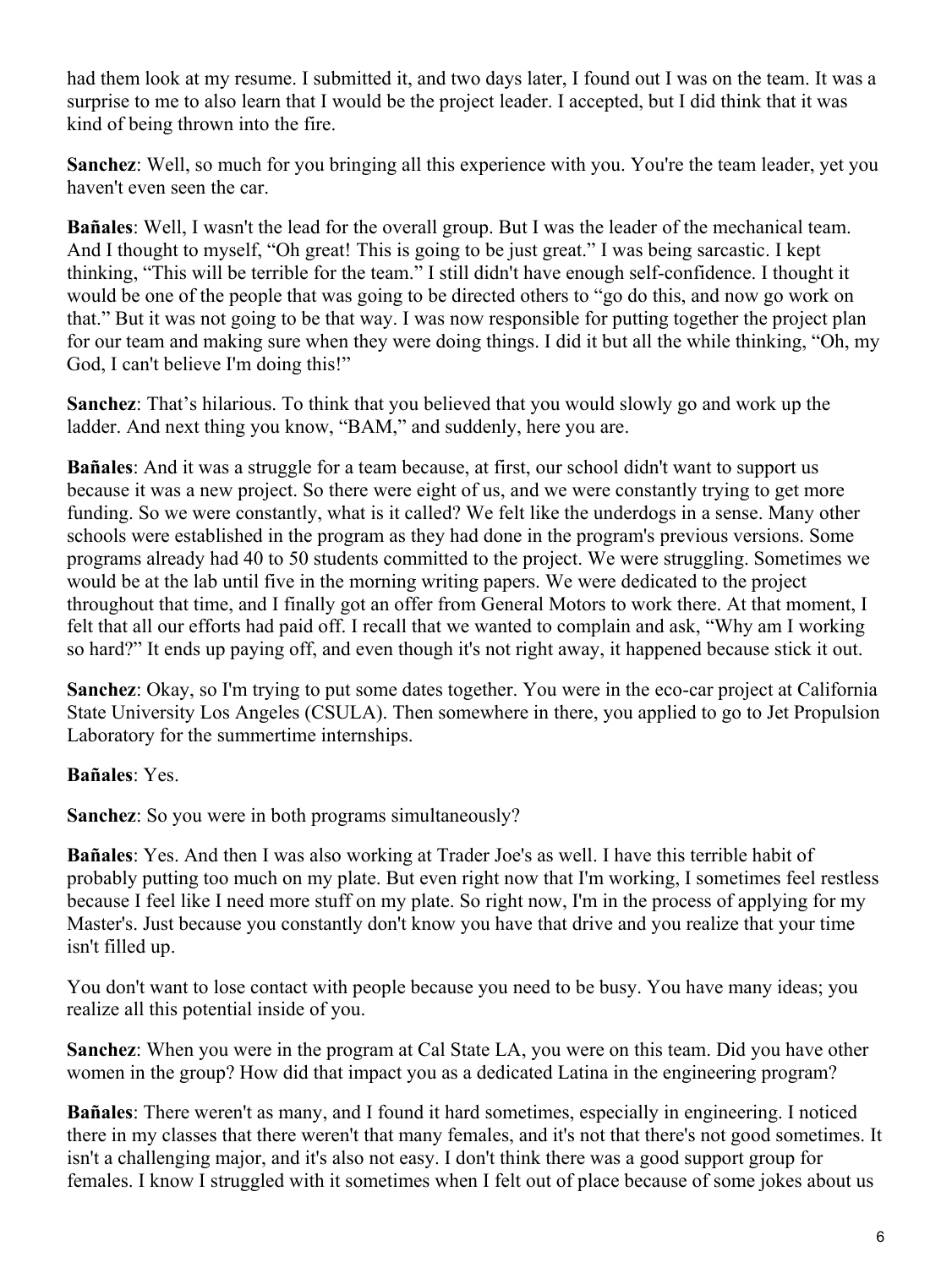had them look at my resume. I submitted it, and two days later, I found out I was on the team. It was a surprise to me to also learn that I would be the project leader. I accepted, but I did think that it was kind of being thrown into the fire.

**Sanchez**: Well, so much for you bringing all this experience with you. You're the team leader, yet you haven't even seen the car.

**Bañales**: Well, I wasn't the lead for the overall group. But I was the leader of the mechanical team. And I thought to myself, "Oh great! This is going to be just great." I was being sarcastic. I kept thinking, "This will be terrible for the team." I still didn't have enough self-confidence. I thought it would be one of the people that was going to be directed others to "go do this, and now go work on that." But it was not going to be that way. I was now responsible for putting together the project plan for our team and making sure when they were doing things. I did it but all the while thinking, "Oh, my God, I can't believe I'm doing this!"

**Sanchez**: That's hilarious. To think that you believed that you would slowly go and work up the ladder. And next thing you know, "BAM," and suddenly, here you are.

**Bañales**: And it was a struggle for a team because, at first, our school didn't want to support us because it was a new project. So there were eight of us, and we were constantly trying to get more funding. So we were constantly, what is it called? We felt like the underdogs in a sense. Many other schools were established in the program as they had done in the program's previous versions. Some programs already had 40 to 50 students committed to the project. We were struggling. Sometimes we would be at the lab until five in the morning writing papers. We were dedicated to the project throughout that time, and I finally got an offer from General Motors to work there. At that moment, I felt that all our efforts had paid off. I recall that we wanted to complain and ask, "Why am I working so hard?" It ends up paying off, and even though it's not right away, it happened because stick it out.

**Sanchez**: Okay, so I'm trying to put some dates together. You were in the eco-car project at California State University Los Angeles (CSULA). Then somewhere in there, you applied to go to Jet Propulsion Laboratory for the summertime internships.

**Bañales**: Yes.

**Sanchez**: So you were in both programs simultaneously?

**Bañales**: Yes. And then I was also working at Trader Joe's as well. I have this terrible habit of probably putting too much on my plate. But even right now that I'm working, I sometimes feel restless because I feel like I need more stuff on my plate. So right now, I'm in the process of applying for my Master's. Just because you constantly don't know you have that drive and you realize that your time isn't filled up.

You don't want to lose contact with people because you need to be busy. You have many ideas; you realize all this potential inside of you.

**Sanchez**: When you were in the program at Cal State LA, you were on this team. Did you have other women in the group? How did that impact you as a dedicated Latina in the engineering program?

**Bañales**: There weren't as many, and I found it hard sometimes, especially in engineering. I noticed there in my classes that there weren't that many females, and it's not that there's not good sometimes. It isn't a challenging major, and it's also not easy. I don't think there was a good support group for females. I know I struggled with it sometimes when I felt out of place because of some jokes about us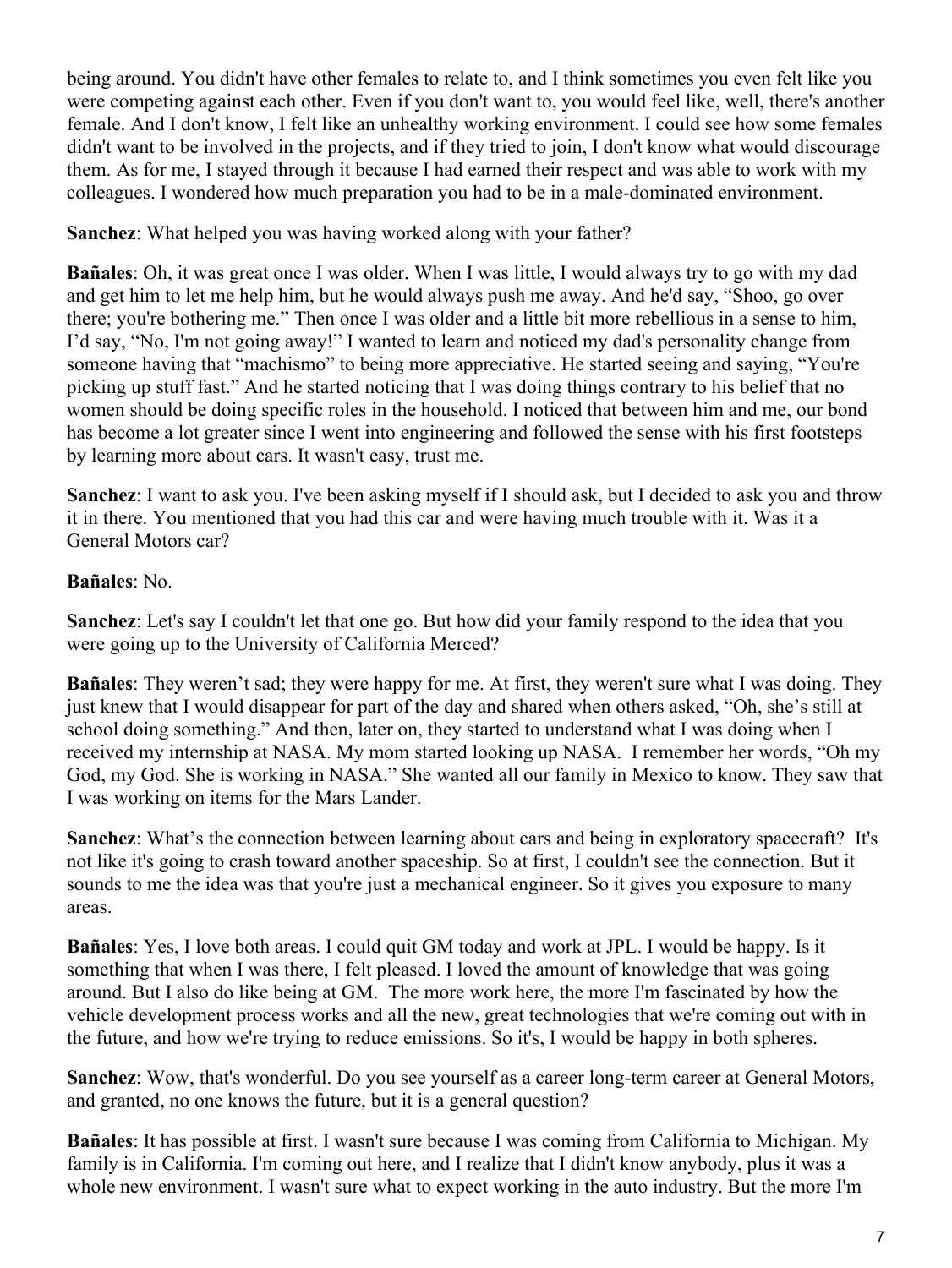being around. You didn't have other females to relate to, and I think sometimes you even felt like you were competing against each other. Even if you don't want to, you would feel like, well, there's another female. And I don't know, I felt like an unhealthy working environment. I could see how some females didn't want to be involved in the projects, and if they tried to join, I don't know what would discourage them. As for me, I stayed through it because I had earned their respect and was able to work with my colleagues. I wondered how much preparation you had to be in a male-dominated environment.

**Sanchez**: What helped you was having worked along with your father?

**Bañales**: Oh, it was great once I was older. When I was little, I would always try to go with my dad and get him to let me help him, but he would always push me away. And he'd say, "Shoo, go over there; you're bothering me." Then once I was older and a little bit more rebellious in a sense to him, I'd say, "No, I'm not going away!" I wanted to learn and noticed my dad's personality change from someone having that "machismo" to being more appreciative. He started seeing and saying, "You're picking up stuff fast." And he started noticing that I was doing things contrary to his belief that no women should be doing specific roles in the household. I noticed that between him and me, our bond has become a lot greater since I went into engineering and followed the sense with his first footsteps by learning more about cars. It wasn't easy, trust me.

**Sanchez**: I want to ask you. I've been asking myself if I should ask, but I decided to ask you and throw it in there. You mentioned that you had this car and were having much trouble with it. Was it a General Motors car?

## **Bañales**: No.

**Sanchez**: Let's say I couldn't let that one go. But how did your family respond to the idea that you were going up to the University of California Merced?

**Bañales**: They weren't sad; they were happy for me. At first, they weren't sure what I was doing. They just knew that I would disappear for part of the day and shared when others asked, "Oh, she's still at school doing something." And then, later on, they started to understand what I was doing when I received my internship at NASA. My mom started looking up NASA. I remember her words, "Oh my God, my God. She is working in NASA." She wanted all our family in Mexico to know. They saw that I was working on items for the Mars Lander.

**Sanchez**: What's the connection between learning about cars and being in exploratory spacecraft? It's not like it's going to crash toward another spaceship. So at first, I couldn't see the connection. But it sounds to me the idea was that you're just a mechanical engineer. So it gives you exposure to many areas.

**Bañales**: Yes, I love both areas. I could quit GM today and work at JPL. I would be happy. Is it something that when I was there, I felt pleased. I loved the amount of knowledge that was going around. But I also do like being at GM. The more work here, the more I'm fascinated by how the vehicle development process works and all the new, great technologies that we're coming out with in the future, and how we're trying to reduce emissions. So it's, I would be happy in both spheres.

**Sanchez**: Wow, that's wonderful. Do you see yourself as a career long-term career at General Motors, and granted, no one knows the future, but it is a general question?

**Bañales**: It has possible at first. I wasn't sure because I was coming from California to Michigan. My family is in California. I'm coming out here, and I realize that I didn't know anybody, plus it was a whole new environment. I wasn't sure what to expect working in the auto industry. But the more I'm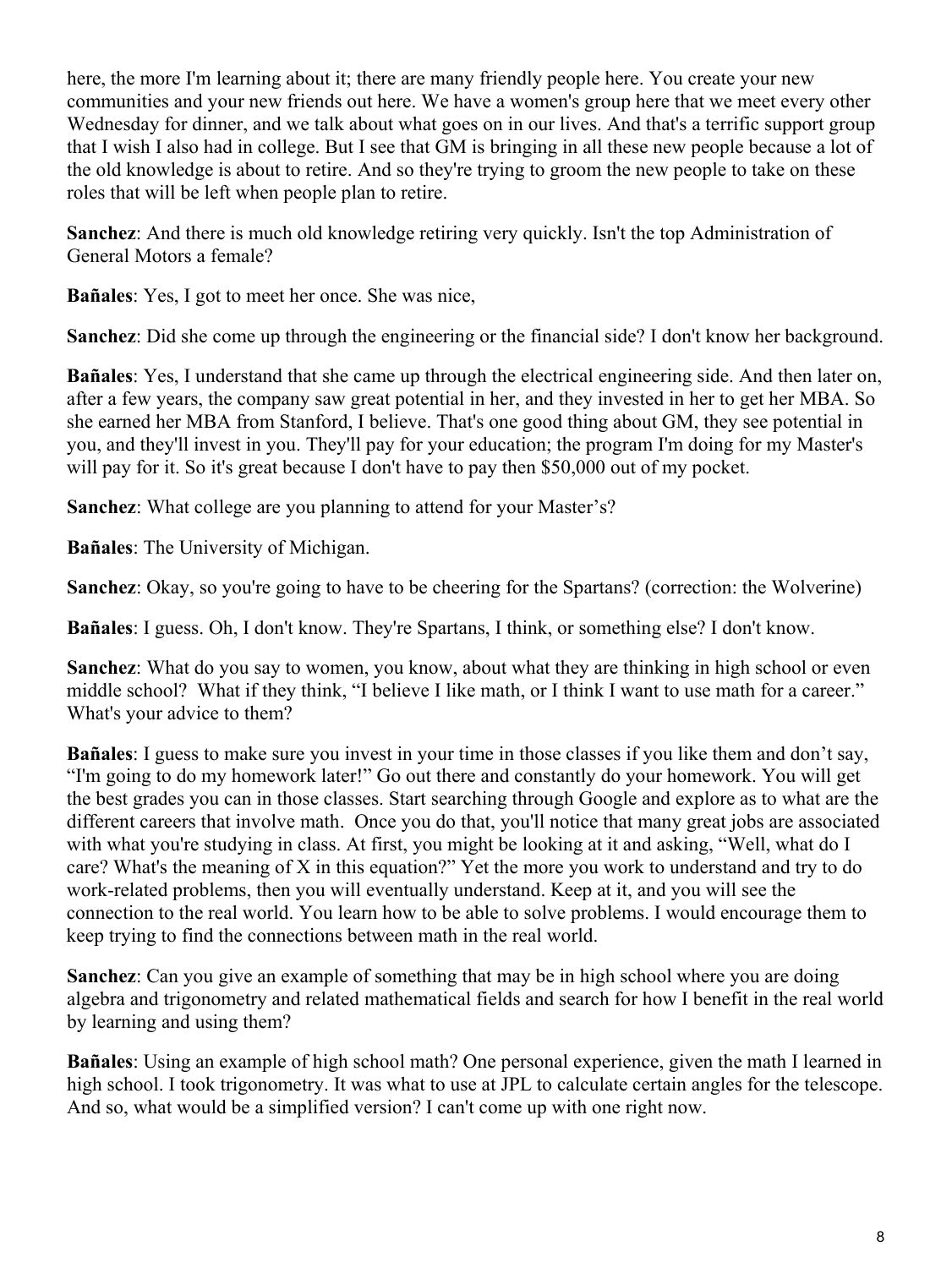here, the more I'm learning about it; there are many friendly people here. You create your new communities and your new friends out here. We have a women's group here that we meet every other Wednesday for dinner, and we talk about what goes on in our lives. And that's a terrific support group that I wish I also had in college. But I see that GM is bringing in all these new people because a lot of the old knowledge is about to retire. And so they're trying to groom the new people to take on these roles that will be left when people plan to retire.

**Sanchez**: And there is much old knowledge retiring very quickly. Isn't the top Administration of General Motors a female?

**Bañales**: Yes, I got to meet her once. She was nice,

**Sanchez**: Did she come up through the engineering or the financial side? I don't know her background.

**Bañales**: Yes, I understand that she came up through the electrical engineering side. And then later on, after a few years, the company saw great potential in her, and they invested in her to get her MBA. So she earned her MBA from Stanford, I believe. That's one good thing about GM, they see potential in you, and they'll invest in you. They'll pay for your education; the program I'm doing for my Master's will pay for it. So it's great because I don't have to pay then \$50,000 out of my pocket.

**Sanchez**: What college are you planning to attend for your Master's?

**Bañales**: The University of Michigan.

**Sanchez**: Okay, so you're going to have to be cheering for the Spartans? (correction: the Wolverine)

**Bañales**: I guess. Oh, I don't know. They're Spartans, I think, or something else? I don't know.

**Sanchez**: What do you say to women, you know, about what they are thinking in high school or even middle school? What if they think, "I believe I like math, or I think I want to use math for a career." What's your advice to them?

**Bañales**: I guess to make sure you invest in your time in those classes if you like them and don't say, "I'm going to do my homework later!" Go out there and constantly do your homework. You will get the best grades you can in those classes. Start searching through Google and explore as to what are the different careers that involve math. Once you do that, you'll notice that many great jobs are associated with what you're studying in class. At first, you might be looking at it and asking, "Well, what do I care? What's the meaning of X in this equation?" Yet the more you work to understand and try to do work-related problems, then you will eventually understand. Keep at it, and you will see the connection to the real world. You learn how to be able to solve problems. I would encourage them to keep trying to find the connections between math in the real world.

**Sanchez**: Can you give an example of something that may be in high school where you are doing algebra and trigonometry and related mathematical fields and search for how I benefit in the real world by learning and using them?

**Bañales**: Using an example of high school math? One personal experience, given the math I learned in high school. I took trigonometry. It was what to use at JPL to calculate certain angles for the telescope. And so, what would be a simplified version? I can't come up with one right now.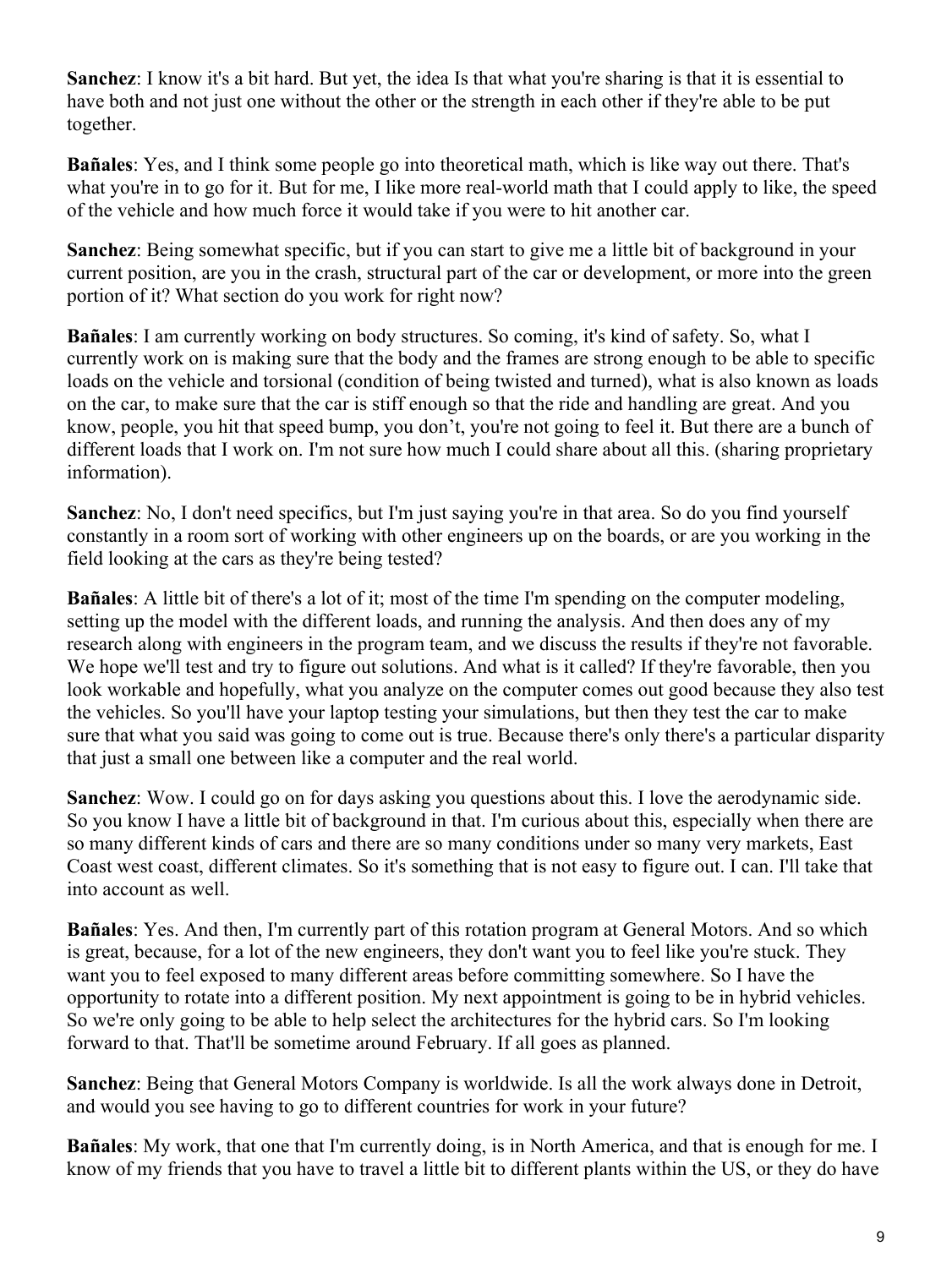**Sanchez**: I know it's a bit hard. But yet, the idea Is that what you're sharing is that it is essential to have both and not just one without the other or the strength in each other if they're able to be put together.

**Bañales**: Yes, and I think some people go into theoretical math, which is like way out there. That's what you're in to go for it. But for me, I like more real-world math that I could apply to like, the speed of the vehicle and how much force it would take if you were to hit another car.

**Sanchez**: Being somewhat specific, but if you can start to give me a little bit of background in your current position, are you in the crash, structural part of the car or development, or more into the green portion of it? What section do you work for right now?

**Bañales**: I am currently working on body structures. So coming, it's kind of safety. So, what I currently work on is making sure that the body and the frames are strong enough to be able to specific loads on the vehicle and torsional (condition of being twisted and turned), what is also known as loads on the car, to make sure that the car is stiff enough so that the ride and handling are great. And you know, people, you hit that speed bump, you don't, you're not going to feel it. But there are a bunch of different loads that I work on. I'm not sure how much I could share about all this. (sharing proprietary information).

**Sanchez**: No, I don't need specifics, but I'm just saying you're in that area. So do you find yourself constantly in a room sort of working with other engineers up on the boards, or are you working in the field looking at the cars as they're being tested?

**Bañales**: A little bit of there's a lot of it; most of the time I'm spending on the computer modeling, setting up the model with the different loads, and running the analysis. And then does any of my research along with engineers in the program team, and we discuss the results if they're not favorable. We hope we'll test and try to figure out solutions. And what is it called? If they're favorable, then you look workable and hopefully, what you analyze on the computer comes out good because they also test the vehicles. So you'll have your laptop testing your simulations, but then they test the car to make sure that what you said was going to come out is true. Because there's only there's a particular disparity that just a small one between like a computer and the real world.

**Sanchez**: Wow. I could go on for days asking you questions about this. I love the aerodynamic side. So you know I have a little bit of background in that. I'm curious about this, especially when there are so many different kinds of cars and there are so many conditions under so many very markets, East Coast west coast, different climates. So it's something that is not easy to figure out. I can. I'll take that into account as well.

**Bañales**: Yes. And then, I'm currently part of this rotation program at General Motors. And so which is great, because, for a lot of the new engineers, they don't want you to feel like you're stuck. They want you to feel exposed to many different areas before committing somewhere. So I have the opportunity to rotate into a different position. My next appointment is going to be in hybrid vehicles. So we're only going to be able to help select the architectures for the hybrid cars. So I'm looking forward to that. That'll be sometime around February. If all goes as planned.

**Sanchez**: Being that General Motors Company is worldwide. Is all the work always done in Detroit, and would you see having to go to different countries for work in your future?

**Bañales**: My work, that one that I'm currently doing, is in North America, and that is enough for me. I know of my friends that you have to travel a little bit to different plants within the US, or they do have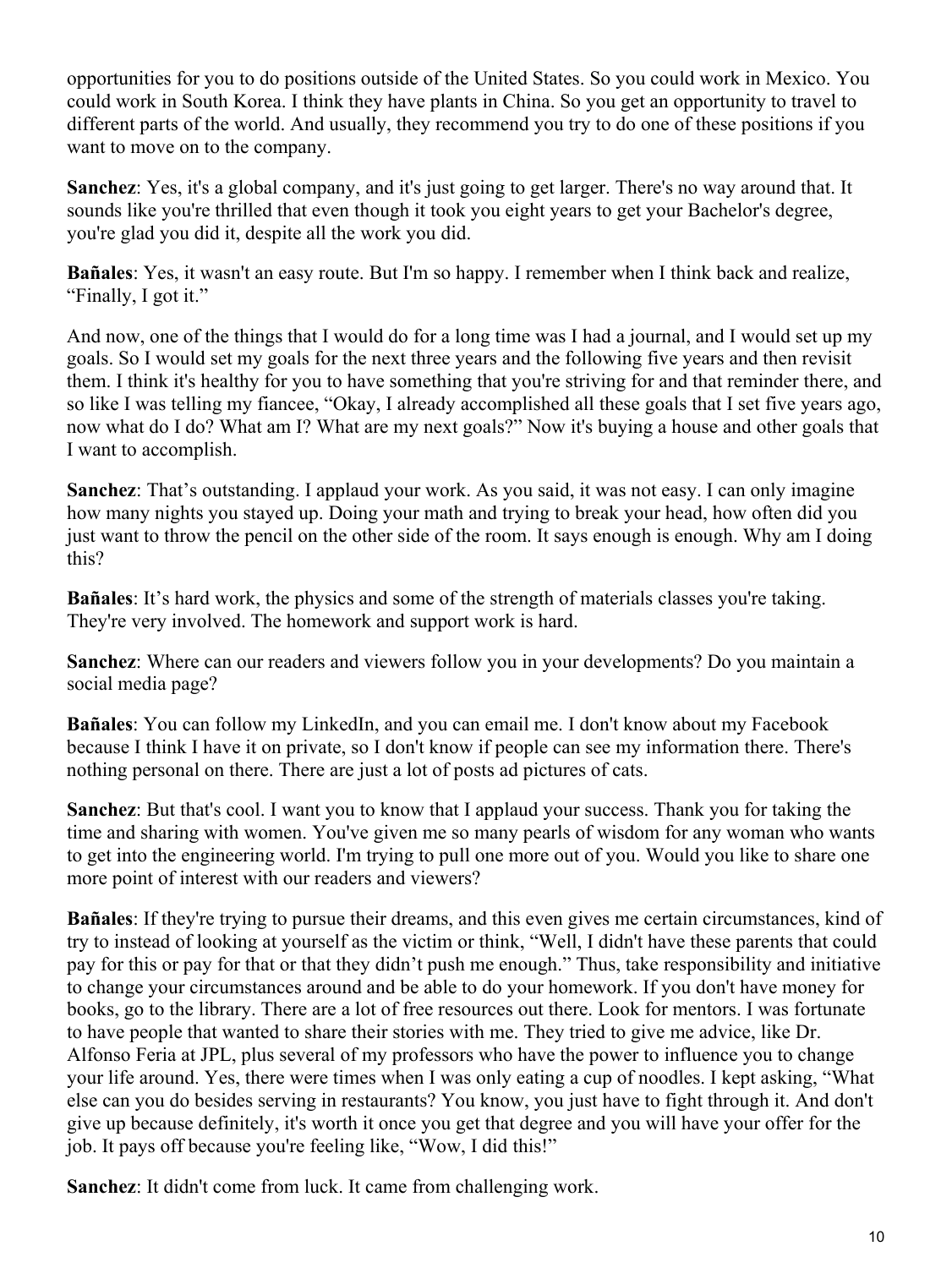opportunities for you to do positions outside of the United States. So you could work in Mexico. You could work in South Korea. I think they have plants in China. So you get an opportunity to travel to different parts of the world. And usually, they recommend you try to do one of these positions if you want to move on to the company.

**Sanchez**: Yes, it's a global company, and it's just going to get larger. There's no way around that. It sounds like you're thrilled that even though it took you eight years to get your Bachelor's degree, you're glad you did it, despite all the work you did.

**Bañales**: Yes, it wasn't an easy route. But I'm so happy. I remember when I think back and realize, "Finally, I got it."

And now, one of the things that I would do for a long time was I had a journal, and I would set up my goals. So I would set my goals for the next three years and the following five years and then revisit them. I think it's healthy for you to have something that you're striving for and that reminder there, and so like I was telling my fiancee, "Okay, I already accomplished all these goals that I set five years ago, now what do I do? What am I? What are my next goals?" Now it's buying a house and other goals that I want to accomplish.

**Sanchez**: That's outstanding. I applaud your work. As you said, it was not easy. I can only imagine how many nights you stayed up. Doing your math and trying to break your head, how often did you just want to throw the pencil on the other side of the room. It says enough is enough. Why am I doing this?

**Bañales**: It's hard work, the physics and some of the strength of materials classes you're taking. They're very involved. The homework and support work is hard.

**Sanchez**: Where can our readers and viewers follow you in your developments? Do you maintain a social media page?

**Bañales**: You can follow my LinkedIn, and you can email me. I don't know about my Facebook because I think I have it on private, so I don't know if people can see my information there. There's nothing personal on there. There are just a lot of posts ad pictures of cats.

**Sanchez**: But that's cool. I want you to know that I applaud your success. Thank you for taking the time and sharing with women. You've given me so many pearls of wisdom for any woman who wants to get into the engineering world. I'm trying to pull one more out of you. Would you like to share one more point of interest with our readers and viewers?

**Bañales**: If they're trying to pursue their dreams, and this even gives me certain circumstances, kind of try to instead of looking at yourself as the victim or think, "Well, I didn't have these parents that could pay for this or pay for that or that they didn't push me enough." Thus, take responsibility and initiative to change your circumstances around and be able to do your homework. If you don't have money for books, go to the library. There are a lot of free resources out there. Look for mentors. I was fortunate to have people that wanted to share their stories with me. They tried to give me advice, like Dr. Alfonso Feria at JPL, plus several of my professors who have the power to influence you to change your life around. Yes, there were times when I was only eating a cup of noodles. I kept asking, "What else can you do besides serving in restaurants? You know, you just have to fight through it. And don't give up because definitely, it's worth it once you get that degree and you will have your offer for the job. It pays off because you're feeling like, "Wow, I did this!"

**Sanchez**: It didn't come from luck. It came from challenging work.